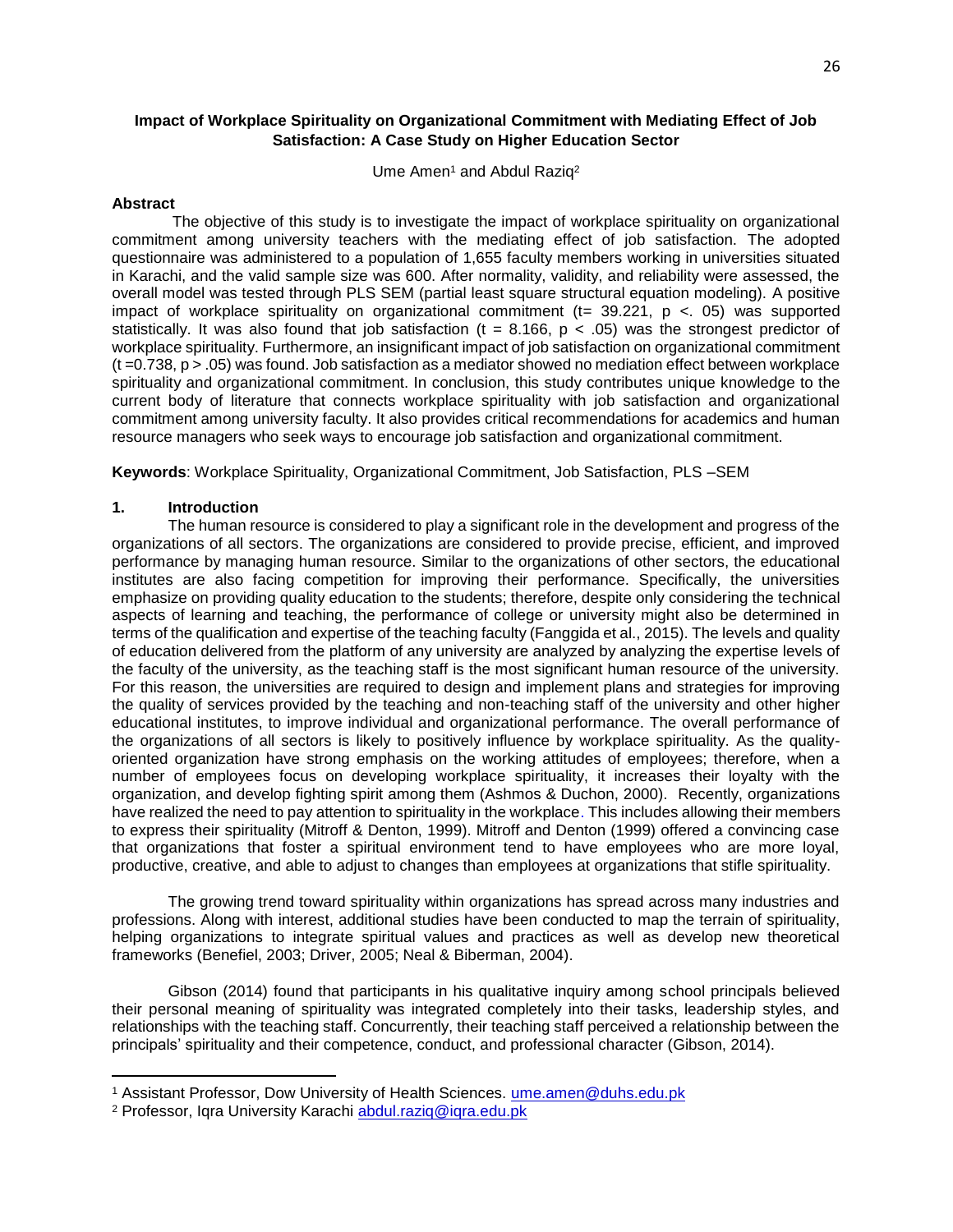# **Impact of Workplace Spirituality on Organizational Commitment with Mediating Effect of Job Satisfaction: A Case Study on Higher Education Sector**

Ume Amen<sup>1</sup> and Abdul Raziq<sup>2</sup>

## **Abstract**

The objective of this study is to investigate the impact of workplace spirituality on organizational commitment among university teachers with the mediating effect of job satisfaction. The adopted questionnaire was administered to a population of 1,655 faculty members working in universities situated in Karachi, and the valid sample size was 600. After normality, validity, and reliability were assessed, the overall model was tested through PLS SEM (partial least square structural equation modeling). A positive impact of workplace spirituality on organizational commitment ( $t= 39.221$ ,  $p < 05$ ) was supported statistically. It was also found that job satisfaction (t = 8.166,  $p < .05$ ) was the strongest predictor of workplace spirituality. Furthermore, an insignificant impact of job satisfaction on organizational commitment  $(t = 0.738, p > 0.05)$  was found. Job satisfaction as a mediator showed no mediation effect between workplace spirituality and organizational commitment. In conclusion, this study contributes unique knowledge to the current body of literature that connects workplace spirituality with job satisfaction and organizational commitment among university faculty. It also provides critical recommendations for academics and human resource managers who seek ways to encourage job satisfaction and organizational commitment.

**Keywords**: Workplace Spirituality, Organizational Commitment, Job Satisfaction, PLS –SEM

### **1. Introduction**

 $\overline{a}$ 

The human resource is considered to play a significant role in the development and progress of the organizations of all sectors. The organizations are considered to provide precise, efficient, and improved performance by managing human resource. Similar to the organizations of other sectors, the educational institutes are also facing competition for improving their performance. Specifically, the universities emphasize on providing quality education to the students; therefore, despite only considering the technical aspects of learning and teaching, the performance of college or university might also be determined in terms of the qualification and expertise of the teaching faculty (Fanggida et al., 2015). The levels and quality of education delivered from the platform of any university are analyzed by analyzing the expertise levels of the faculty of the university, as the teaching staff is the most significant human resource of the university. For this reason, the universities are required to design and implement plans and strategies for improving the quality of services provided by the teaching and non-teaching staff of the university and other higher educational institutes, to improve individual and organizational performance. The overall performance of the organizations of all sectors is likely to positively influence by workplace spirituality. As the qualityoriented organization have strong emphasis on the working attitudes of employees; therefore, when a number of employees focus on developing workplace spirituality, it increases their loyalty with the organization, and develop fighting spirit among them (Ashmos & Duchon, 2000). Recently, organizations have realized the need to pay attention to spirituality in the workplace. This includes allowing their members to express their spirituality (Mitroff & Denton, 1999). Mitroff and Denton (1999) offered a convincing case that organizations that foster a spiritual environment tend to have employees who are more loyal, productive, creative, and able to adjust to changes than employees at organizations that stifle spirituality.

The growing trend toward spirituality within organizations has spread across many industries and professions. Along with interest, additional studies have been conducted to map the terrain of spirituality, helping organizations to integrate spiritual values and practices as well as develop new theoretical frameworks (Benefiel, 2003; Driver, 2005; Neal & Biberman, 2004).

Gibson (2014) found that participants in his qualitative inquiry among school principals believed their personal meaning of spirituality was integrated completely into their tasks, leadership styles, and relationships with the teaching staff. Concurrently, their teaching staff perceived a relationship between the principals' spirituality and their competence, conduct, and professional character (Gibson, 2014).

<sup>1</sup> Assistant Professor, Dow University of Health Sciences. ume.amen@duhs.edu.pk

<sup>&</sup>lt;sup>2</sup> Professor, Igra University Karachi abdul.raziq@igra.edu.pk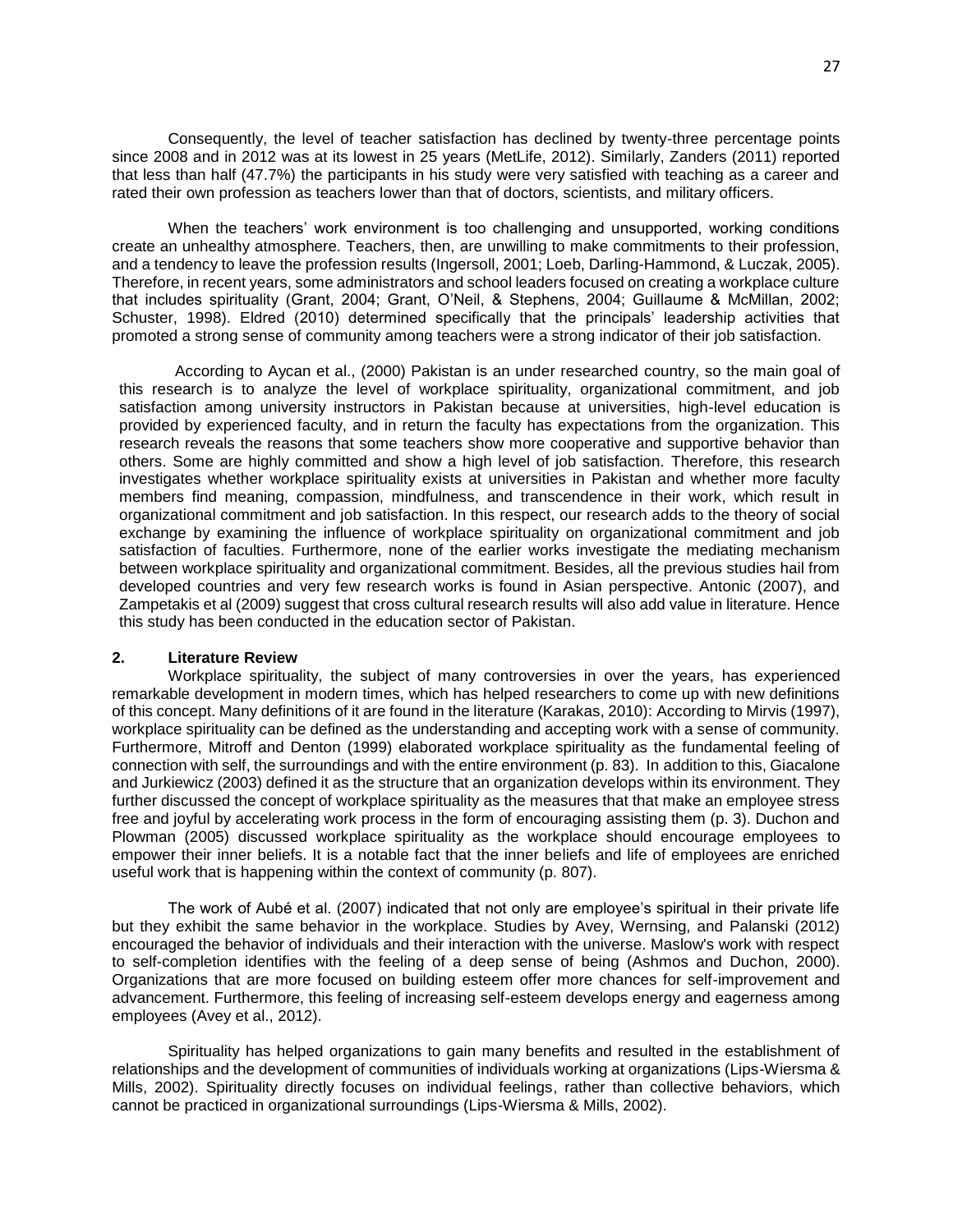Consequently, the level of teacher satisfaction has declined by twenty-three percentage points since 2008 and in 2012 was at its lowest in 25 years (MetLife, 2012). Similarly, Zanders (2011) reported that less than half (47.7%) the participants in his study were very satisfied with teaching as a career and rated their own profession as teachers lower than that of doctors, scientists, and military officers.

When the teachers' work environment is too challenging and unsupported, working conditions create an unhealthy atmosphere. Teachers, then, are unwilling to make commitments to their profession, and a tendency to leave the profession results (Ingersoll, 2001; Loeb, Darling-Hammond, & Luczak, 2005). Therefore, in recent years, some administrators and school leaders focused on creating a workplace culture that includes spirituality (Grant, 2004; Grant, O'Neil, & Stephens, 2004; Guillaume & McMillan, 2002; Schuster, 1998). Eldred (2010) determined specifically that the principals' leadership activities that promoted a strong sense of community among teachers were a strong indicator of their job satisfaction.

According to Aycan et al., (2000) Pakistan is an under researched country, so the main goal of this research is to analyze the level of workplace spirituality, organizational commitment, and job satisfaction among university instructors in Pakistan because at universities, high-level education is provided by experienced faculty, and in return the faculty has expectations from the organization. This research reveals the reasons that some teachers show more cooperative and supportive behavior than others. Some are highly committed and show a high level of job satisfaction. Therefore, this research investigates whether workplace spirituality exists at universities in Pakistan and whether more faculty members find meaning, compassion, mindfulness, and transcendence in their work, which result in organizational commitment and job satisfaction. In this respect, our research adds to the theory of social exchange by examining the influence of workplace spirituality on organizational commitment and job satisfaction of faculties. Furthermore, none of the earlier works investigate the mediating mechanism between workplace spirituality and organizational commitment. Besides, all the previous studies hail from developed countries and very few research works is found in Asian perspective. Antonic (2007), and Zampetakis et al (2009) suggest that cross cultural research results will also add value in literature. Hence this study has been conducted in the education sector of Pakistan.

### **2. Literature Review**

Workplace spirituality, the subject of many controversies in over the years, has experienced remarkable development in modern times, which has helped researchers to come up with new definitions of this concept. Many definitions of it are found in the literature (Karakas, 2010): According to Mirvis (1997), workplace spirituality can be defined as the understanding and accepting work with a sense of community. Furthermore, Mitroff and Denton (1999) elaborated workplace spirituality as the fundamental feeling of connection with self, the surroundings and with the entire environment (p. 83). In addition to this, Giacalone and Jurkiewicz (2003) defined it as the structure that an organization develops within its environment. They further discussed the concept of workplace spirituality as the measures that that make an employee stress free and joyful by accelerating work process in the form of encouraging assisting them (p. 3). Duchon and Plowman (2005) discussed workplace spirituality as the workplace should encourage employees to empower their inner beliefs. It is a notable fact that the inner beliefs and life of employees are enriched useful work that is happening within the context of community (p. 807).

The work of Aubé et al. (2007) indicated that not only are employee's spiritual in their private life but they exhibit the same behavior in the workplace. Studies by Avey, Wernsing, and Palanski (2012) encouraged the behavior of individuals and their interaction with the universe. Maslow's work with respect to self-completion identifies with the feeling of a deep sense of being (Ashmos and Duchon, 2000). Organizations that are more focused on building esteem offer more chances for self-improvement and advancement. Furthermore, this feeling of increasing self-esteem develops energy and eagerness among employees (Avey et al., 2012).

Spirituality has helped organizations to gain many benefits and resulted in the establishment of relationships and the development of communities of individuals working at organizations (Lips-Wiersma & Mills, 2002). Spirituality directly focuses on individual feelings, rather than collective behaviors, which cannot be practiced in organizational surroundings (Lips-Wiersma & Mills, 2002).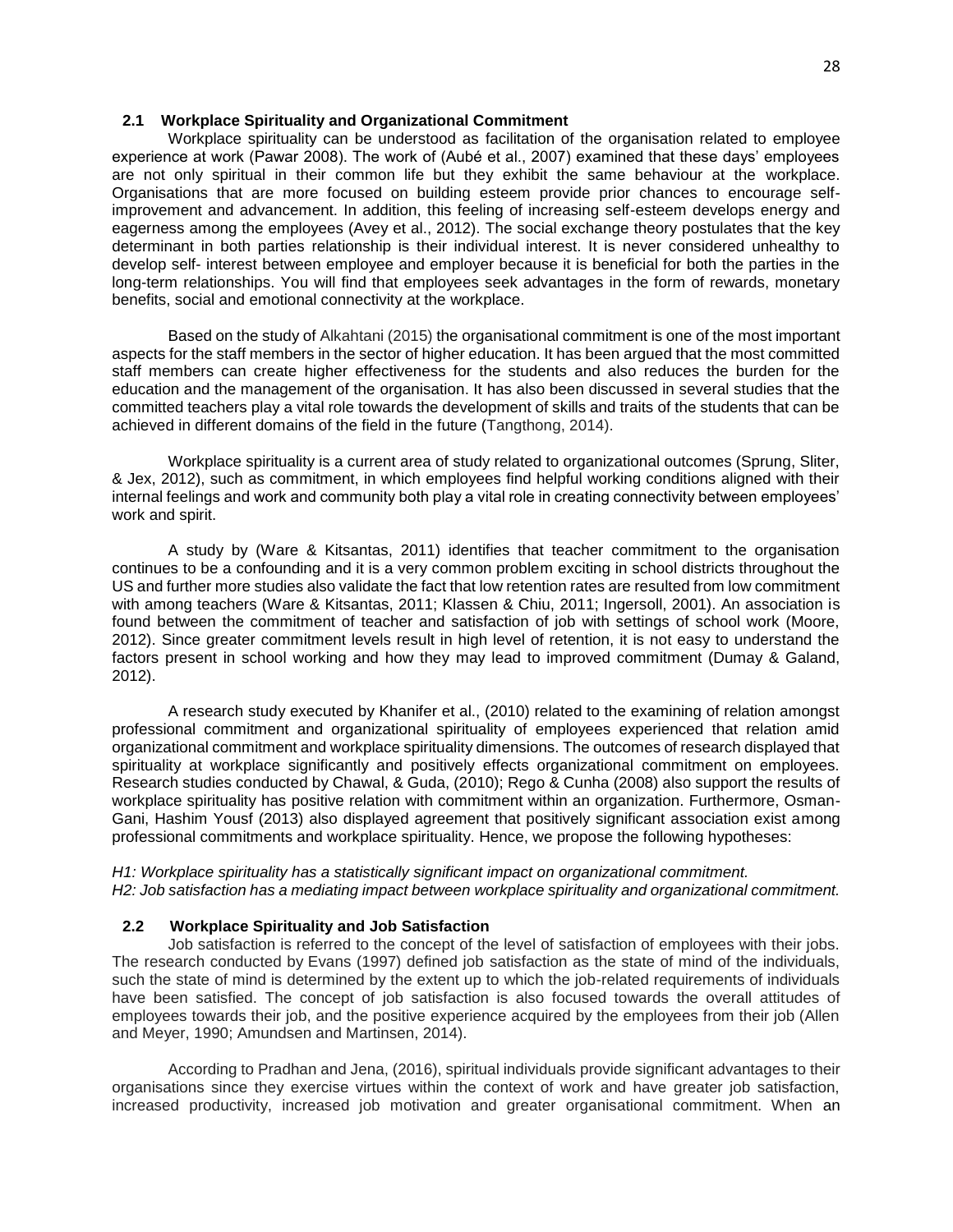## **2.1 Workplace Spirituality and Organizational Commitment**

Workplace spirituality can be understood as facilitation of the organisation related to employee experience at work (Pawar 2008). The work of (Aubé et al., 2007) examined that these days' employees are not only spiritual in their common life but they exhibit the same behaviour at the workplace. Organisations that are more focused on building esteem provide prior chances to encourage selfimprovement and advancement. In addition, this feeling of increasing self-esteem develops energy and eagerness among the employees (Avey et al., 2012). The social exchange theory postulates that the key determinant in both parties relationship is their individual interest. It is never considered unhealthy to develop self- interest between employee and employer because it is beneficial for both the parties in the long-term relationships. You will find that employees seek advantages in the form of rewards, monetary benefits, social and emotional connectivity at the workplace.

Based on the study of Alkahtani (2015) the organisational commitment is one of the most important aspects for the staff members in the sector of higher education. It has been argued that the most committed staff members can create higher effectiveness for the students and also reduces the burden for the education and the management of the organisation. It has also been discussed in several studies that the committed teachers play a vital role towards the development of skills and traits of the students that can be achieved in different domains of the field in the future (Tangthong, 2014).

Workplace spirituality is a current area of study related to organizational outcomes (Sprung, Sliter, & Jex, 2012), such as commitment, in which employees find helpful working conditions aligned with their internal feelings and work and community both play a vital role in creating connectivity between employees' work and spirit.

A study by (Ware & Kitsantas, 2011) identifies that teacher commitment to the organisation continues to be a confounding and it is a very common problem exciting in school districts throughout the US and further more studies also validate the fact that low retention rates are resulted from low commitment with among teachers (Ware & Kitsantas, 2011; Klassen & Chiu, 2011; Ingersoll, 2001). An association is found between the commitment of teacher and satisfaction of job with settings of school work (Moore, 2012). Since greater commitment levels result in high level of retention, it is not easy to understand the factors present in school working and how they may lead to improved commitment (Dumay & Galand, 2012).

A research study executed by Khanifer et al., (2010) related to the examining of relation amongst professional commitment and organizational spirituality of employees experienced that relation amid organizational commitment and workplace spirituality dimensions. The outcomes of research displayed that spirituality at workplace significantly and positively effects organizational commitment on employees. Research studies conducted by Chawal, & Guda, (2010); Rego & Cunha (2008) also support the results of workplace spirituality has positive relation with commitment within an organization. Furthermore, Osman-Gani, Hashim Yousf (2013) also displayed agreement that positively significant association exist among professional commitments and workplace spirituality. Hence, we propose the following hypotheses:

# *H1: Workplace spirituality has a statistically significant impact on organizational commitment. H2: Job satisfaction has a mediating impact between workplace spirituality and organizational commitment.*

### **2.2 Workplace Spirituality and Job Satisfaction**

Job satisfaction is referred to the concept of the level of satisfaction of employees with their jobs. The research conducted by Evans (1997) defined job satisfaction as the state of mind of the individuals, such the state of mind is determined by the extent up to which the job-related requirements of individuals have been satisfied. The concept of job satisfaction is also focused towards the overall attitudes of employees towards their job, and the positive experience acquired by the employees from their job (Allen and Meyer, 1990; Amundsen and Martinsen, 2014).

According to Pradhan and Jena, (2016), spiritual individuals provide significant advantages to their organisations since they exercise virtues within the context of work and have greater job satisfaction, increased productivity, increased job motivation and greater organisational commitment. When an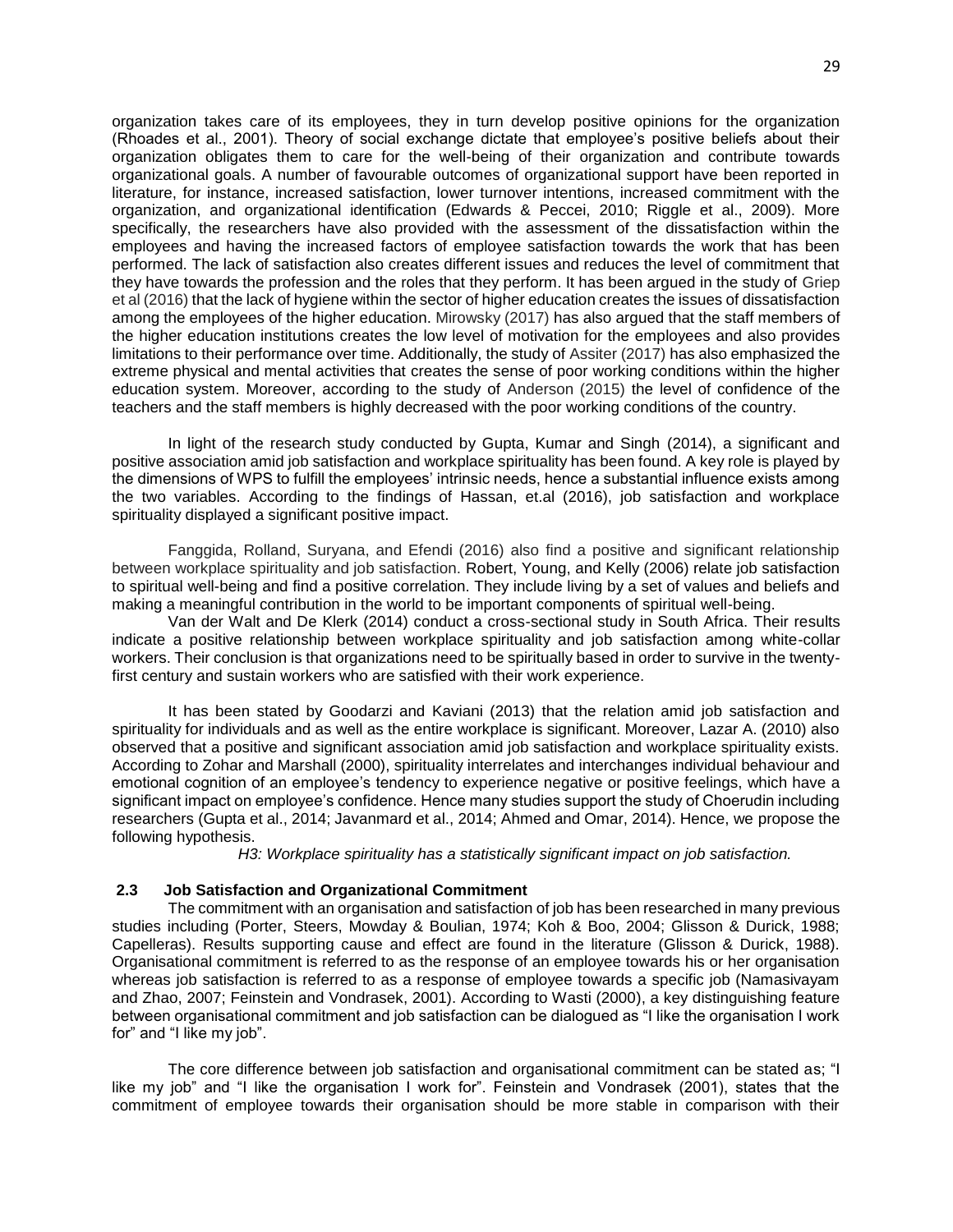organization takes care of its employees, they in turn develop positive opinions for the organization (Rhoades et al., 2001). Theory of social exchange dictate that employee's positive beliefs about their organization obligates them to care for the well-being of their organization and contribute towards organizational goals. A number of favourable outcomes of organizational support have been reported in literature, for instance, increased satisfaction, lower turnover intentions, increased commitment with the organization, and organizational identification (Edwards & Peccei, 2010; Riggle et al., 2009). More specifically, the researchers have also provided with the assessment of the dissatisfaction within the employees and having the increased factors of employee satisfaction towards the work that has been performed. The lack of satisfaction also creates different issues and reduces the level of commitment that they have towards the profession and the roles that they perform. It has been argued in the study of Griep et al (2016) that the lack of hygiene within the sector of higher education creates the issues of dissatisfaction among the employees of the higher education. Mirowsky (2017) has also argued that the staff members of the higher education institutions creates the low level of motivation for the employees and also provides limitations to their performance over time. Additionally, the study of Assiter (2017) has also emphasized the extreme physical and mental activities that creates the sense of poor working conditions within the higher education system. Moreover, according to the study of Anderson (2015) the level of confidence of the teachers and the staff members is highly decreased with the poor working conditions of the country.

In light of the research study conducted by Gupta, Kumar and Singh (2014), a significant and positive association amid job satisfaction and workplace spirituality has been found. A key role is played by the dimensions of WPS to fulfill the employees' intrinsic needs, hence a substantial influence exists among the two variables. According to the findings of Hassan, et.al (2016), job satisfaction and workplace spirituality displayed a significant positive impact.

Fanggida, Rolland, Suryana, and Efendi (2016) also find a positive and significant relationship between workplace spirituality and job satisfaction. Robert, Young, and Kelly (2006) relate job satisfaction to spiritual well-being and find a positive correlation. They include living by a set of values and beliefs and making a meaningful contribution in the world to be important components of spiritual well-being.

Van der Walt and De Klerk (2014) conduct a cross-sectional study in South Africa. Their results indicate a positive relationship between workplace spirituality and job satisfaction among white-collar workers. Their conclusion is that organizations need to be spiritually based in order to survive in the twentyfirst century and sustain workers who are satisfied with their work experience.

It has been stated by Goodarzi and Kaviani (2013) that the relation amid job satisfaction and spirituality for individuals and as well as the entire workplace is significant. Moreover, Lazar A. (2010) also observed that a positive and significant association amid job satisfaction and workplace spirituality exists. According to Zohar and Marshall (2000), spirituality interrelates and interchanges individual behaviour and emotional cognition of an employee's tendency to experience negative or positive feelings, which have a significant impact on employee's confidence. Hence many studies support the study of Choerudin including researchers (Gupta et al., 2014; Javanmard et al., 2014; Ahmed and Omar, 2014). Hence, we propose the following hypothesis.

*H3: Workplace spirituality has a statistically significant impact on job satisfaction.*

#### **2.3 Job Satisfaction and Organizational Commitment**

The commitment with an organisation and satisfaction of job has been researched in many previous studies including (Porter, Steers, Mowday & Boulian, 1974; Koh & Boo, 2004; Glisson & Durick, 1988; Capelleras). Results supporting cause and effect are found in the literature (Glisson & Durick, 1988). Organisational commitment is referred to as the response of an employee towards his or her organisation whereas job satisfaction is referred to as a response of employee towards a specific job (Namasivayam and Zhao, 2007; Feinstein and Vondrasek, 2001). According to Wasti (2000), a key distinguishing feature between organisational commitment and job satisfaction can be dialogued as "I like the organisation I work for" and "I like my job".

The core difference between job satisfaction and organisational commitment can be stated as; "I like my job" and "I like the organisation I work for". Feinstein and Vondrasek (2001), states that the commitment of employee towards their organisation should be more stable in comparison with their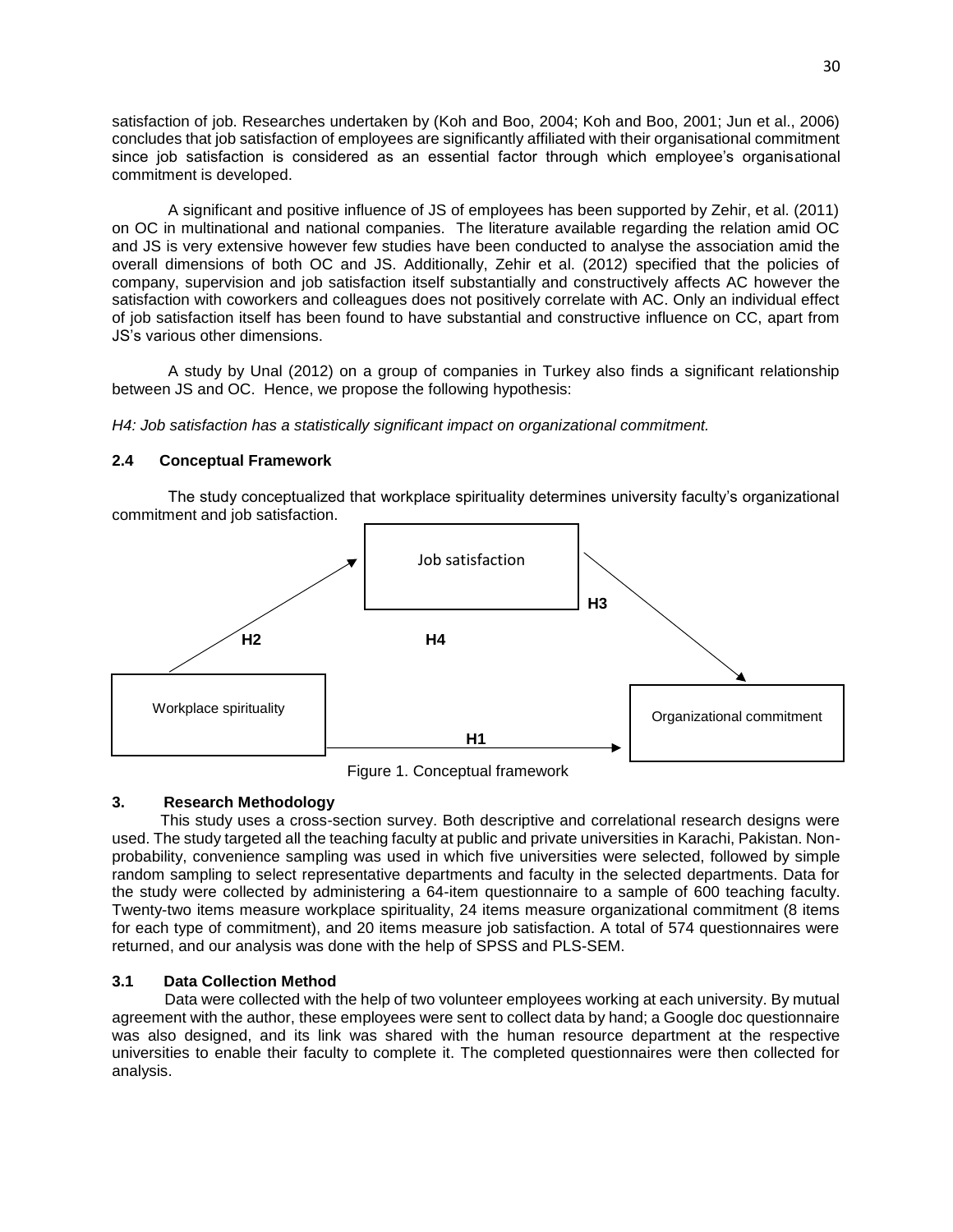satisfaction of job. Researches undertaken by (Koh and Boo, 2004; Koh and Boo, 2001; Jun et al., 2006) concludes that job satisfaction of employees are significantly affiliated with their organisational commitment since job satisfaction is considered as an essential factor through which employee's organisational commitment is developed.

A significant and positive influence of JS of employees has been supported by Zehir, et al. (2011) on OC in multinational and national companies. The literature available regarding the relation amid OC and JS is very extensive however few studies have been conducted to analyse the association amid the overall dimensions of both OC and JS. Additionally, Zehir et al. (2012) specified that the policies of company, supervision and job satisfaction itself substantially and constructively affects AC however the satisfaction with coworkers and colleagues does not positively correlate with AC. Only an individual effect of job satisfaction itself has been found to have substantial and constructive influence on CC, apart from JS's various other dimensions.

A study by Unal (2012) on a group of companies in Turkey also finds a significant relationship between JS and OC. Hence, we propose the following hypothesis:

*H4: Job satisfaction has a statistically significant impact on organizational commitment.*

# **2.4 Conceptual Framework**

The study conceptualized that workplace spirituality determines university faculty's organizational commitment and job satisfaction.



Figure 1. Conceptual framework

# **3. Research Methodology**

This study uses a cross-section survey. Both descriptive and correlational research designs were used. The study targeted all the teaching faculty at public and private universities in Karachi, Pakistan. Nonprobability, convenience sampling was used in which five universities were selected, followed by simple random sampling to select representative departments and faculty in the selected departments. Data for the study were collected by administering a 64-item questionnaire to a sample of 600 teaching faculty. Twenty-two items measure workplace spirituality, 24 items measure organizational commitment (8 items for each type of commitment), and 20 items measure job satisfaction. A total of 574 questionnaires were returned, and our analysis was done with the help of SPSS and PLS-SEM.

# **3.1 Data Collection Method**

 Data were collected with the help of two volunteer employees working at each university. By mutual agreement with the author, these employees were sent to collect data by hand; a Google doc questionnaire was also designed, and its link was shared with the human resource department at the respective universities to enable their faculty to complete it. The completed questionnaires were then collected for analysis.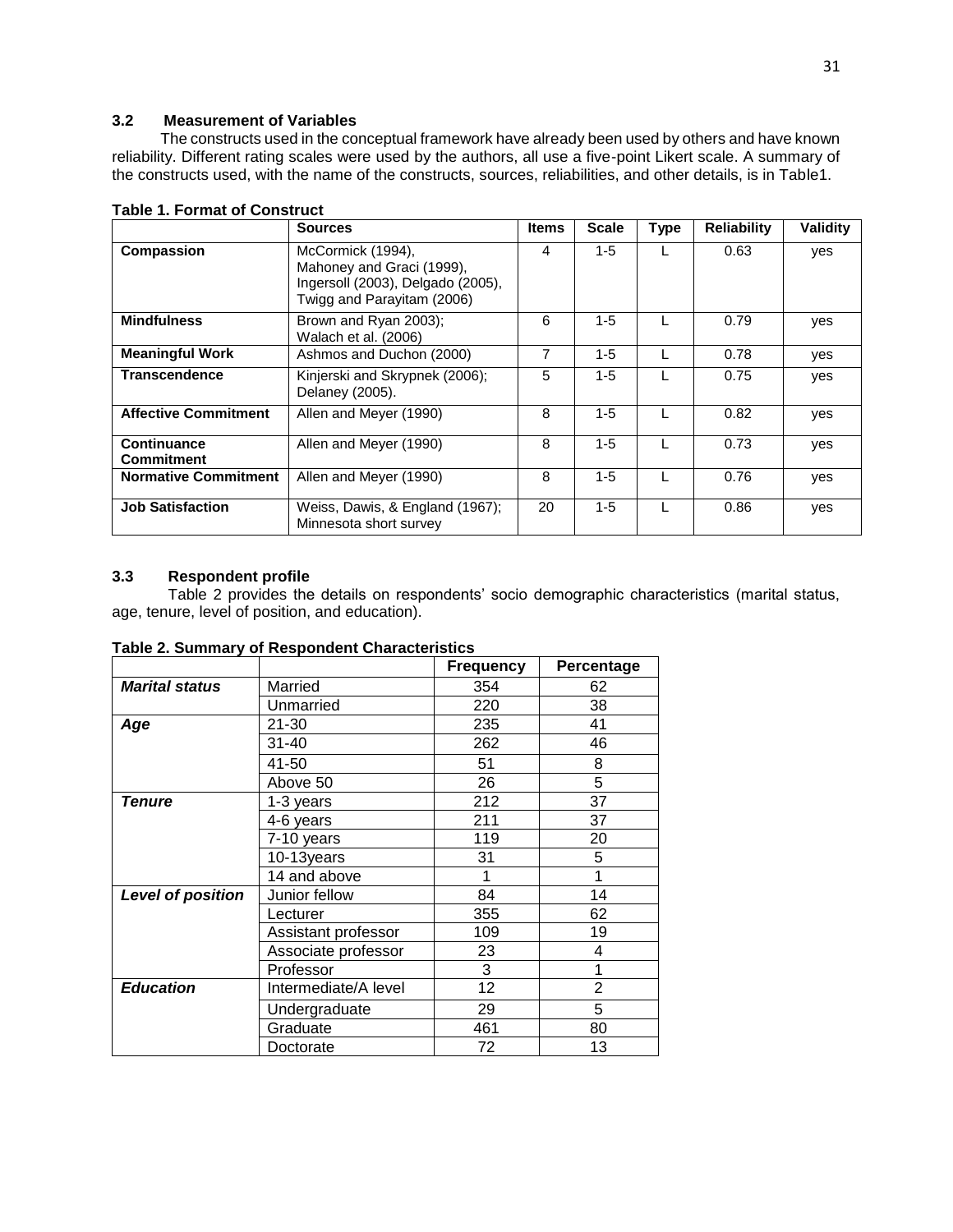# **3.2 Measurement of Variables**

The constructs used in the conceptual framework have already been used by others and have known reliability. Different rating scales were used by the authors, all use a five-point Likert scale. A summary of the constructs used, with the name of the constructs, sources, reliabilities, and other details, is in Table1.

|                                         | <b>Sources</b>                                                                                                    | <b>Items</b> | <b>Scale</b> | <b>Type</b> | <b>Reliability</b> | Validity |
|-----------------------------------------|-------------------------------------------------------------------------------------------------------------------|--------------|--------------|-------------|--------------------|----------|
| Compassion                              | McCormick (1994),<br>Mahoney and Graci (1999),<br>Ingersoll (2003), Delgado (2005),<br>Twigg and Parayitam (2006) | 4            | $1 - 5$      |             | 0.63               | yes      |
| <b>Mindfulness</b>                      | Brown and Ryan 2003);<br>Walach et al. (2006)                                                                     | 6            | $1 - 5$      |             | 0.79               | yes      |
| <b>Meaningful Work</b>                  | Ashmos and Duchon (2000)                                                                                          |              | $1 - 5$      |             | 0.78               | yes      |
| <b>Transcendence</b>                    | Kinjerski and Skrypnek (2006);<br>Delaney (2005).                                                                 |              | $1 - 5$      |             | 0.75               | yes      |
| <b>Affective Commitment</b>             | Allen and Meyer (1990)                                                                                            |              | $1 - 5$      |             | 0.82               | yes      |
| <b>Continuance</b><br><b>Commitment</b> | Allen and Meyer (1990)                                                                                            |              | $1 - 5$      |             | 0.73               | yes      |
| <b>Normative Commitment</b>             | Allen and Meyer (1990)                                                                                            | 8            | $1 - 5$      |             | 0.76               | yes      |
| <b>Job Satisfaction</b>                 | Weiss, Dawis, & England (1967);<br>Minnesota short survey                                                         | 20           | $1 - 5$      |             | 0.86               | yes      |

## **Table 1. Format of Construct**

# **3.3 Respondent profile**

Table 2 provides the details on respondents' socio demographic characteristics (marital status, age, tenure, level of position, and education).

**Table 2. Summary of Respondent Characteristics**

|                          |                      | <b>Frequency</b> | Percentage     |
|--------------------------|----------------------|------------------|----------------|
| <b>Marital status</b>    | Married              | 354              | 62             |
|                          | Unmarried            | 220              | 38             |
| Age                      | 21-30                | 235              | 41             |
|                          | $31 - 40$            | 262              | 46             |
|                          | 41-50                | 51               | 8              |
|                          | Above 50             | 26               | 5              |
| Tenure                   | 1-3 years            | 212              | 37             |
|                          | 4-6 years            | 211              | 37             |
|                          | 7-10 years           | 119              | 20             |
|                          | 10-13years           | 31               | 5              |
|                          | 14 and above         | 1                |                |
| <b>Level of position</b> | Junior fellow        | 84               | 14             |
|                          | Lecturer             | 355              | 62             |
|                          | Assistant professor  | 109              | 19             |
|                          | Associate professor  | 23               | 4              |
|                          | Professor            | 3                |                |
| <b>Education</b>         | Intermediate/A level | 12               | $\overline{2}$ |
|                          | Undergraduate        | 29               | 5              |
|                          | Graduate             | 461              | 80             |
|                          | Doctorate            | 72               | 13             |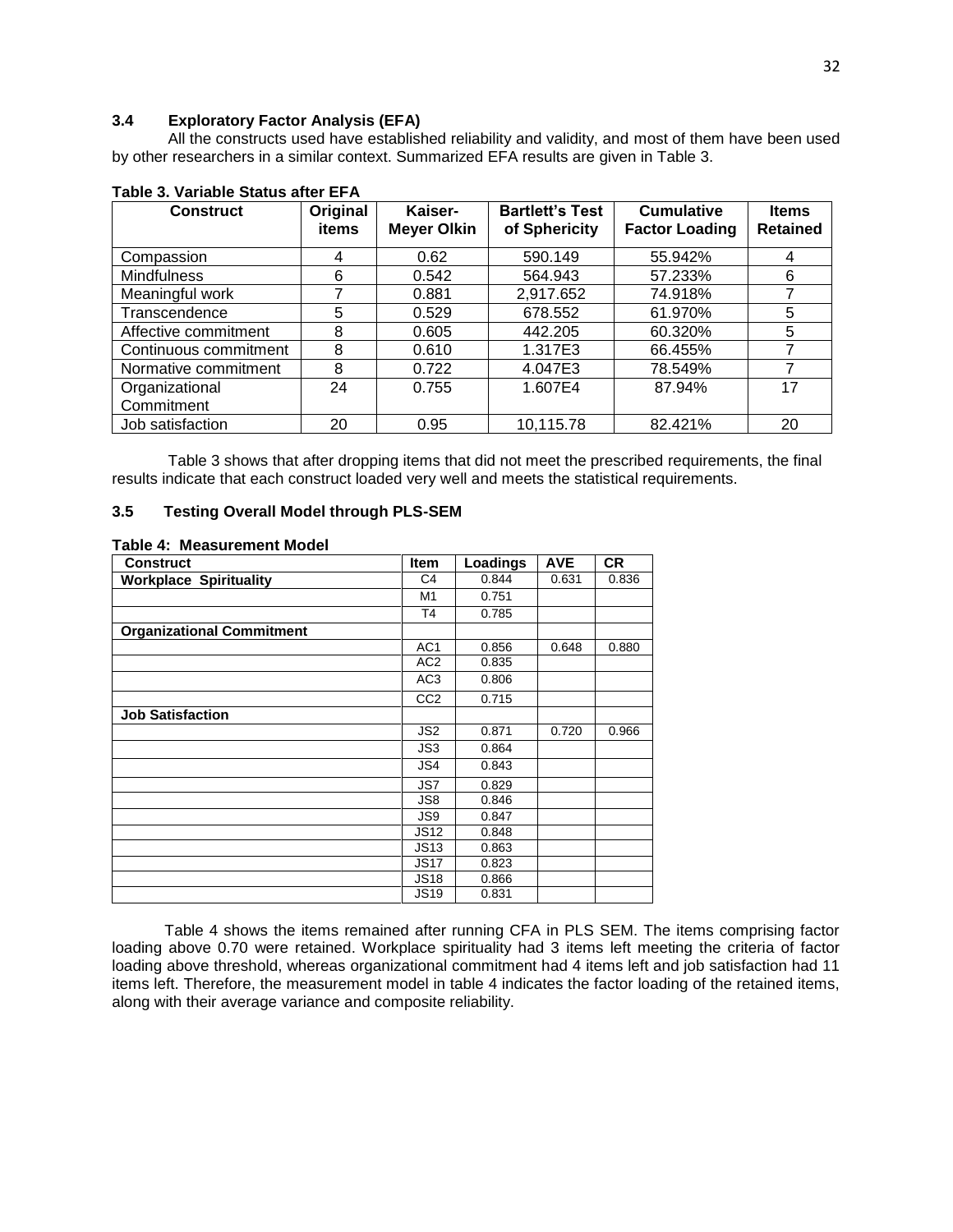# **3.4 Exploratory Factor Analysis (EFA)**

All the constructs used have established reliability and validity, and most of them have been used by other researchers in a similar context. Summarized EFA results are given in Table 3.

| <b>Construct</b>      | Original<br>items | Kaiser-<br><b>Meyer Olkin</b> | <b>Bartlett's Test</b><br>of Sphericity | <b>Cumulative</b><br><b>Factor Loading</b> | <b>Items</b><br><b>Retained</b> |
|-----------------------|-------------------|-------------------------------|-----------------------------------------|--------------------------------------------|---------------------------------|
|                       |                   |                               |                                         |                                            |                                 |
| Compassion            | 4                 | 0.62                          | 590.149                                 | 55.942%                                    | 4                               |
| <b>Mindfulness</b>    | 6                 | 0.542                         | 564.943                                 | 57.233%                                    | 6                               |
| Meaningful work       |                   | 0.881                         | 2,917.652                               | 74.918%                                    |                                 |
| Transcendence         | 5                 | 0.529                         | 678.552                                 | 61.970%                                    | 5                               |
| Affective commitment  | 8                 | 0.605                         | 442.205                                 | 60.320%                                    | 5                               |
| Continuous commitment | 8                 | 0.610                         | 1.317E3                                 | 66.455%                                    |                                 |
| Normative commitment  | 8                 | 0.722                         | 4.047E3                                 | 78.549%                                    |                                 |
| Organizational        | 24                | 0.755                         | 1.607E4                                 | 87.94%                                     | 17                              |
| Commitment            |                   |                               |                                         |                                            |                                 |
| Job satisfaction      | 20                | 0.95                          | 10,115.78                               | 82.421%                                    | 20                              |

# **Table 3. Variable Status after EFA**

Table 3 shows that after dropping items that did not meet the prescribed requirements, the final results indicate that each construct loaded very well and meets the statistical requirements.

## **3.5 Testing Overall Model through PLS-SEM**

#### **Table 4: Measurement Model**

| <b>Construct</b>                 | <b>Item</b>      | Loadings | <b>AVE</b> | <b>CR</b> |
|----------------------------------|------------------|----------|------------|-----------|
| <b>Workplace Spirituality</b>    | C <sub>4</sub>   | 0.844    | 0.631      | 0.836     |
|                                  | M1               | 0.751    |            |           |
|                                  | T <sub>4</sub>   | 0.785    |            |           |
| <b>Organizational Commitment</b> |                  |          |            |           |
|                                  | AC <sub>1</sub>  | 0.856    | 0.648      | 0.880     |
|                                  | AC <sub>2</sub>  | 0.835    |            |           |
|                                  | AC <sub>3</sub>  | 0.806    |            |           |
|                                  | CC <sub>2</sub>  | 0.715    |            |           |
| <b>Job Satisfaction</b>          |                  |          |            |           |
|                                  | JS2              | 0.871    | 0.720      | 0.966     |
|                                  | JS3              | 0.864    |            |           |
|                                  | JS4              | 0.843    |            |           |
|                                  | JS7              | 0.829    |            |           |
|                                  | JS8              | 0.846    |            |           |
|                                  | JS9              | 0.847    |            |           |
|                                  | <b>JS12</b>      | 0.848    |            |           |
|                                  | JS <sub>13</sub> | 0.863    |            |           |
|                                  | <b>JS17</b>      | 0.823    |            |           |
|                                  | <b>JS18</b>      | 0.866    |            |           |
|                                  | <b>JS19</b>      | 0.831    |            |           |

Table 4 shows the items remained after running CFA in PLS SEM. The items comprising factor loading above 0.70 were retained. Workplace spirituality had 3 items left meeting the criteria of factor loading above threshold, whereas organizational commitment had 4 items left and job satisfaction had 11 items left. Therefore, the measurement model in table 4 indicates the factor loading of the retained items, along with their average variance and composite reliability.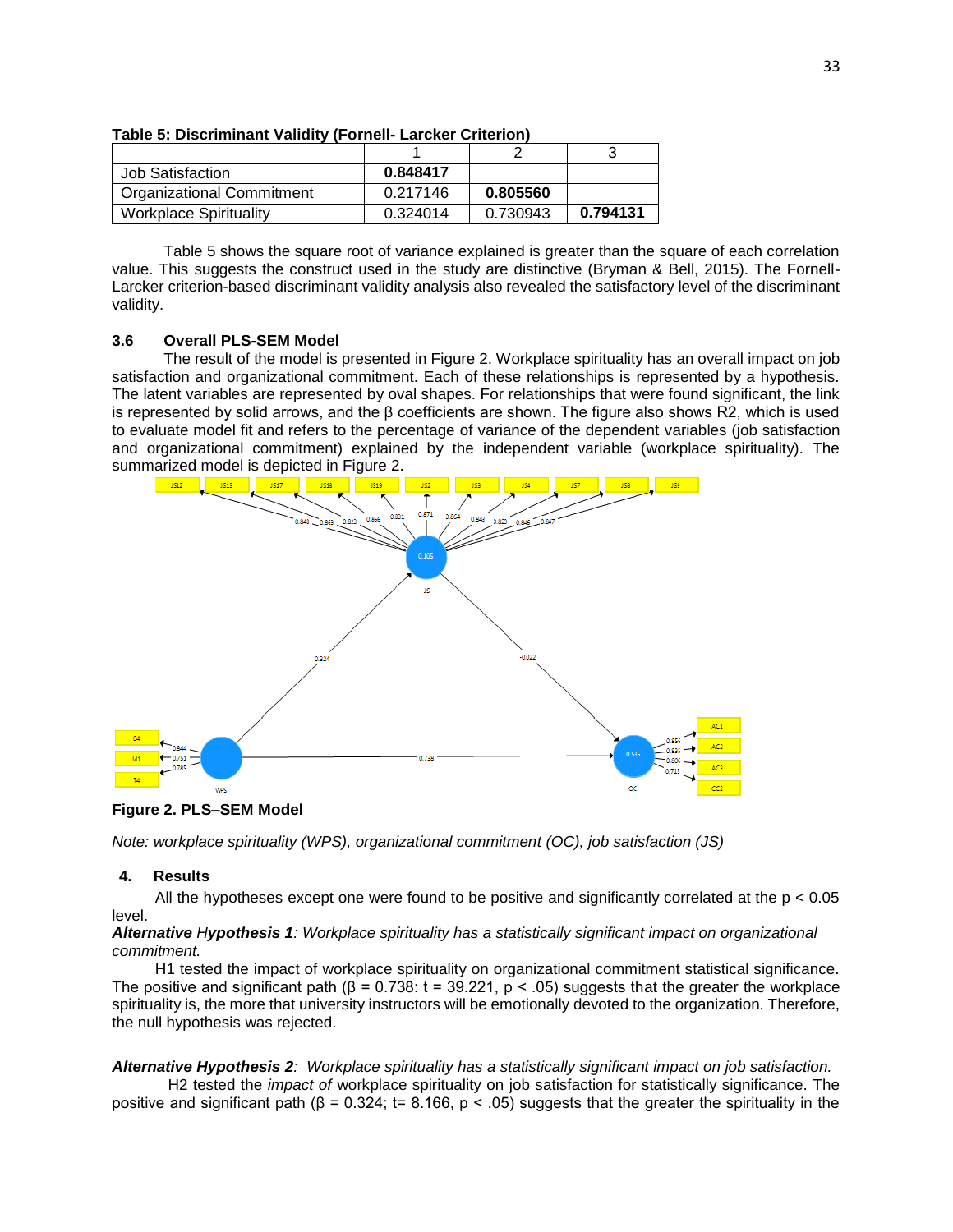|                                  |          |          | ັ        |
|----------------------------------|----------|----------|----------|
| Job Satisfaction                 | 0.848417 |          |          |
| <b>Organizational Commitment</b> | 0.217146 | 0.805560 |          |
| <b>Workplace Spirituality</b>    | 0.324014 | 0.730943 | 0.794131 |

**Table 5: Discriminant Validity (Fornell- Larcker Criterion)**

 Table 5 shows the square root of variance explained is greater than the square of each correlation value. This suggests the construct used in the study are distinctive (Bryman & Bell, 2015). The Fornell-Larcker criterion-based discriminant validity analysis also revealed the satisfactory level of the discriminant validity.

### **3.6 Overall PLS-SEM Model**

 The result of the model is presented in Figure 2. Workplace spirituality has an overall impact on job satisfaction and organizational commitment. Each of these relationships is represented by a hypothesis. The latent variables are represented by oval shapes. For relationships that were found significant, the link is represented by solid arrows, and the β coefficients are shown. The figure also shows R2, which is used to evaluate model fit and refers to the percentage of variance of the dependent variables (job satisfaction and organizational commitment) explained by the independent variable (workplace spirituality). The summarized model is depicted in Figure 2.



**Figure 2. PLS–SEM Model**

*Note: workplace spirituality (WPS), organizational commitment (OC), job satisfaction (JS)* 

# **4. Results**

All the hypotheses except one were found to be positive and significantly correlated at the  $p < 0.05$ level.

### *Alternative Hypothesis 1: Workplace spirituality has a statistically significant impact on organizational commitment.*

 H1 tested the impact of workplace spirituality on organizational commitment statistical significance. The positive and significant path ( $\beta$  = 0.738: t = 39.221, p < .05) suggests that the greater the workplace spirituality is, the more that university instructors will be emotionally devoted to the organization. Therefore, the null hypothesis was rejected.

# *Alternative Hypothesis 2: Workplace spirituality has a statistically significant impact on job satisfaction.*

H2 tested the *impact of* workplace spirituality on job satisfaction for statistically significance. The positive and significant path (β = 0.324; t= 8.166, p < .05) suggests that the greater the spirituality in the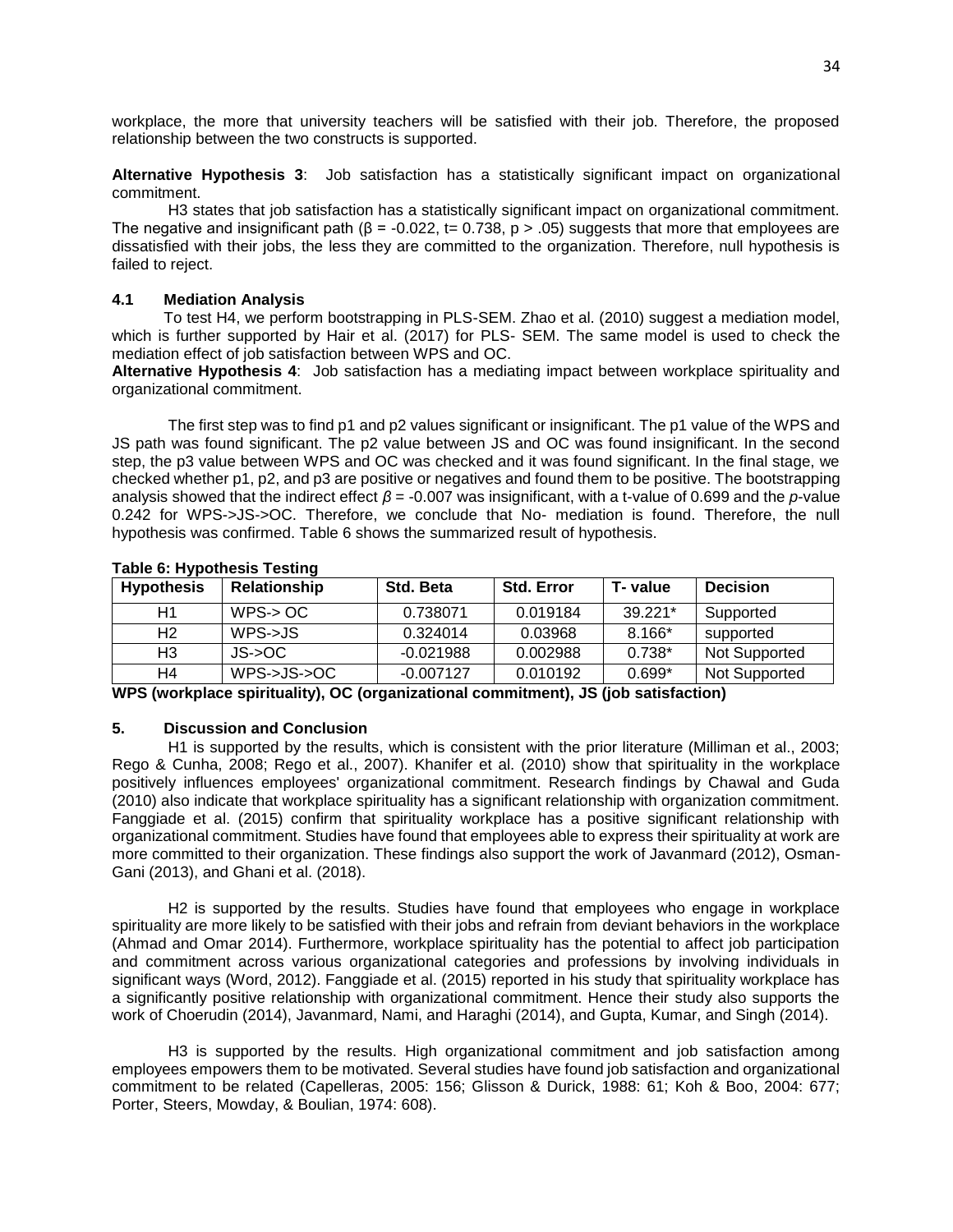workplace, the more that university teachers will be satisfied with their job. Therefore, the proposed relationship between the two constructs is supported.

**Alternative Hypothesis 3**: Job satisfaction has a statistically significant impact on organizational commitment.

H3 states that job satisfaction has a statistically significant impact on organizational commitment. The negative and insignificant path ( $\beta$  = -0.022, t= 0.738, p > .05) suggests that more that employees are dissatisfied with their jobs, the less they are committed to the organization. Therefore, null hypothesis is failed to reject.

## **4.1 Mediation Analysis**

 To test H4, we perform bootstrapping in PLS-SEM. Zhao et al. (2010) suggest a mediation model, which is further supported by Hair et al. (2017) for PLS- SEM. The same model is used to check the mediation effect of job satisfaction between WPS and OC.

**Alternative Hypothesis 4**: Job satisfaction has a mediating impact between workplace spirituality and organizational commitment.

The first step was to find p1 and p2 values significant or insignificant. The p1 value of the WPS and JS path was found significant. The p2 value between JS and OC was found insignificant. In the second step, the p3 value between WPS and OC was checked and it was found significant. In the final stage, we checked whether p1, p2, and p3 are positive or negatives and found them to be positive. The bootstrapping analysis showed that the indirect effect *β* = -0.007 was insignificant, with a t-value of 0.699 and the *p*-value 0.242 for WPS->JS->OC. Therefore, we conclude that No- mediation is found. Therefore, the null hypothesis was confirmed. Table 6 shows the summarized result of hypothesis.

| <b>Hypothesis</b> | Relationship | Std. Beta   | <b>Std. Error</b> | T-value   | <b>Decision</b> |
|-------------------|--------------|-------------|-------------------|-----------|-----------------|
| H1                | WPS-> OC     | 0.738071    | 0.019184          | $39.221*$ | Supported       |
| H <sub>2</sub>    | WPS->JS      | 0.324014    | 0.03968           | 8.166*    | supported       |
| H3                | JS->OC       | $-0.021988$ | 0.002988          | $0.738*$  | Not Supported   |
| H4                | WPS->JS->OC  | $-0.007127$ | 0.010192          | $0.699*$  | Not Supported   |

### **Table 6: Hypothesis Testing**

**WPS (workplace spirituality), OC (organizational commitment), JS (job satisfaction)**

# **5. Discussion and Conclusion**

H1 is supported by the results, which is consistent with the prior literature (Milliman et al., 2003; Rego & Cunha, 2008; Rego et al., 2007). Khanifer et al. (2010) show that spirituality in the workplace positively influences employees' organizational commitment. Research findings by Chawal and Guda (2010) also indicate that workplace spirituality has a significant relationship with organization commitment. Fanggiade et al. (2015) confirm that spirituality workplace has a positive significant relationship with organizational commitment. Studies have found that employees able to express their spirituality at work are more committed to their organization. These findings also support the work of Javanmard (2012), Osman-Gani (2013), and Ghani et al. (2018).

H2 is supported by the results. Studies have found that employees who engage in workplace spirituality are more likely to be satisfied with their jobs and refrain from deviant behaviors in the workplace (Ahmad and Omar 2014). Furthermore, workplace spirituality has the potential to affect job participation and commitment across various organizational categories and professions by involving individuals in significant ways (Word, 2012). Fanggiade et al. (2015) reported in his study that spirituality workplace has a significantly positive relationship with organizational commitment. Hence their study also supports the work of Choerudin (2014), Javanmard, Nami, and Haraghi (2014), and Gupta, Kumar, and Singh (2014).

H3 is supported by the results. High organizational commitment and job satisfaction among employees empowers them to be motivated. Several studies have found job satisfaction and organizational commitment to be related (Capelleras, 2005: 156; Glisson & Durick, 1988: 61; Koh & Boo, 2004: 677; Porter, Steers, Mowday, & Boulian, 1974: 608).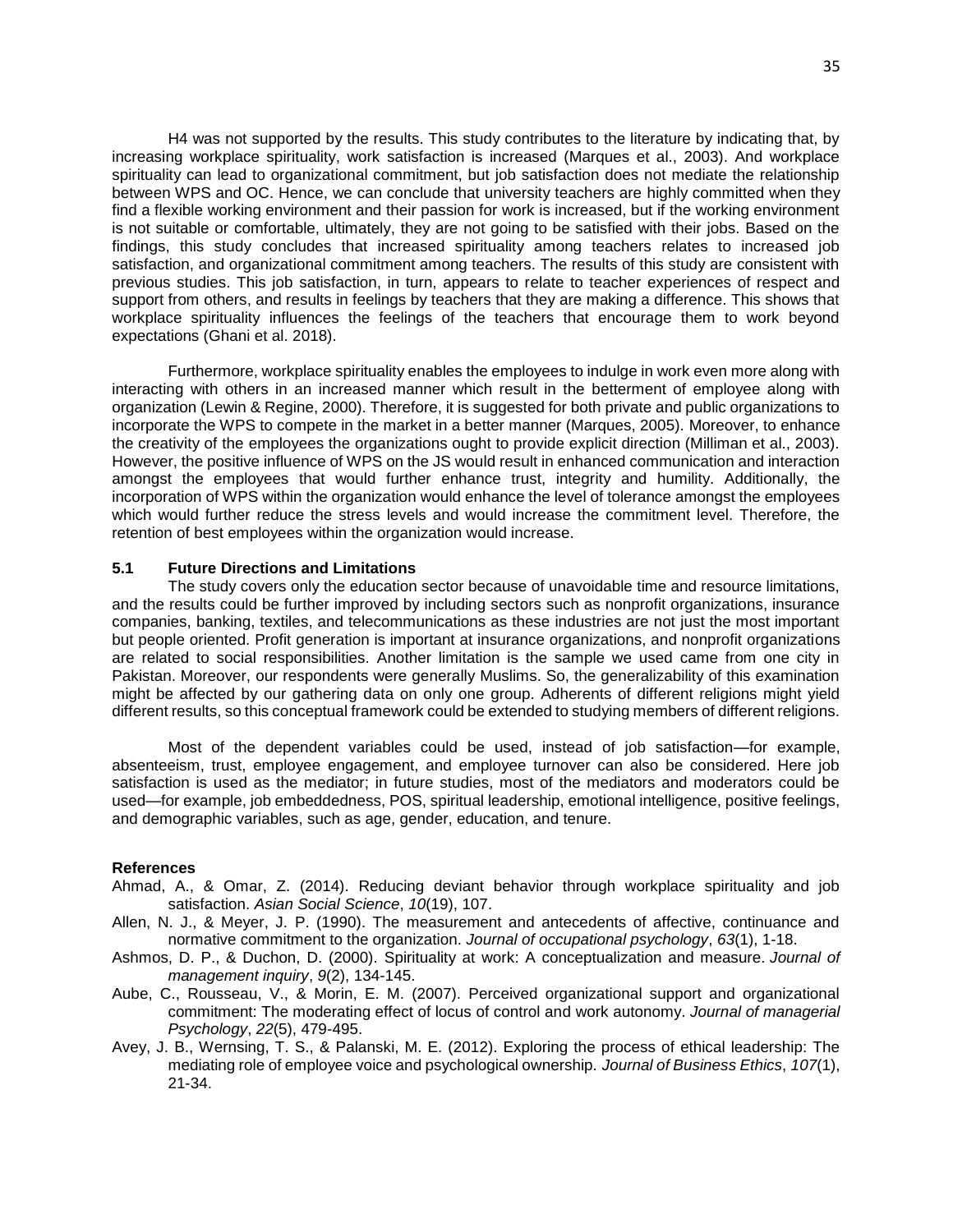H4 was not supported by the results. This study contributes to the literature by indicating that, by increasing workplace spirituality, work satisfaction is increased (Marques et al., 2003). And workplace spirituality can lead to organizational commitment, but job satisfaction does not mediate the relationship between WPS and OC. Hence, we can conclude that university teachers are highly committed when they find a flexible working environment and their passion for work is increased, but if the working environment is not suitable or comfortable, ultimately, they are not going to be satisfied with their jobs. Based on the findings, this study concludes that increased spirituality among teachers relates to increased job satisfaction, and organizational commitment among teachers. The results of this study are consistent with previous studies. This job satisfaction, in turn, appears to relate to teacher experiences of respect and support from others, and results in feelings by teachers that they are making a difference. This shows that workplace spirituality influences the feelings of the teachers that encourage them to work beyond expectations (Ghani et al. 2018).

Furthermore, workplace spirituality enables the employees to indulge in work even more along with interacting with others in an increased manner which result in the betterment of employee along with organization (Lewin & Regine, 2000). Therefore, it is suggested for both private and public organizations to incorporate the WPS to compete in the market in a better manner (Marques, 2005). Moreover, to enhance the creativity of the employees the organizations ought to provide explicit direction (Milliman et al., 2003). However, the positive influence of WPS on the JS would result in enhanced communication and interaction amongst the employees that would further enhance trust, integrity and humility. Additionally, the incorporation of WPS within the organization would enhance the level of tolerance amongst the employees which would further reduce the stress levels and would increase the commitment level. Therefore, the retention of best employees within the organization would increase.

### **5.1 Future Directions and Limitations**

The study covers only the education sector because of unavoidable time and resource limitations, and the results could be further improved by including sectors such as nonprofit organizations, insurance companies, banking, textiles, and telecommunications as these industries are not just the most important but people oriented. Profit generation is important at insurance organizations, and nonprofit organizations are related to social responsibilities. Another limitation is the sample we used came from one city in Pakistan. Moreover, our respondents were generally Muslims. So, the generalizability of this examination might be affected by our gathering data on only one group. Adherents of different religions might yield different results, so this conceptual framework could be extended to studying members of different religions.

Most of the dependent variables could be used, instead of job satisfaction—for example, absenteeism, trust, employee engagement, and employee turnover can also be considered. Here job satisfaction is used as the mediator; in future studies, most of the mediators and moderators could be used—for example, job embeddedness, POS, spiritual leadership, emotional intelligence, positive feelings, and demographic variables, such as age, gender, education, and tenure.

### **References**

- Ahmad, A., & Omar, Z. (2014). Reducing deviant behavior through workplace spirituality and job satisfaction. *Asian Social Science*, *10*(19), 107.
- Allen, N. J., & Meyer, J. P. (1990). The measurement and antecedents of affective, continuance and normative commitment to the organization. *Journal of occupational psychology*, *63*(1), 1-18.
- Ashmos, D. P., & Duchon, D. (2000). Spirituality at work: A conceptualization and measure. *Journal of management inquiry*, *9*(2), 134-145.
- Aube, C., Rousseau, V., & Morin, E. M. (2007). Perceived organizational support and organizational commitment: The moderating effect of locus of control and work autonomy. *Journal of managerial Psychology*, *22*(5), 479-495.
- Avey, J. B., Wernsing, T. S., & Palanski, M. E. (2012). Exploring the process of ethical leadership: The mediating role of employee voice and psychological ownership. *Journal of Business Ethics*, *107*(1), 21-34.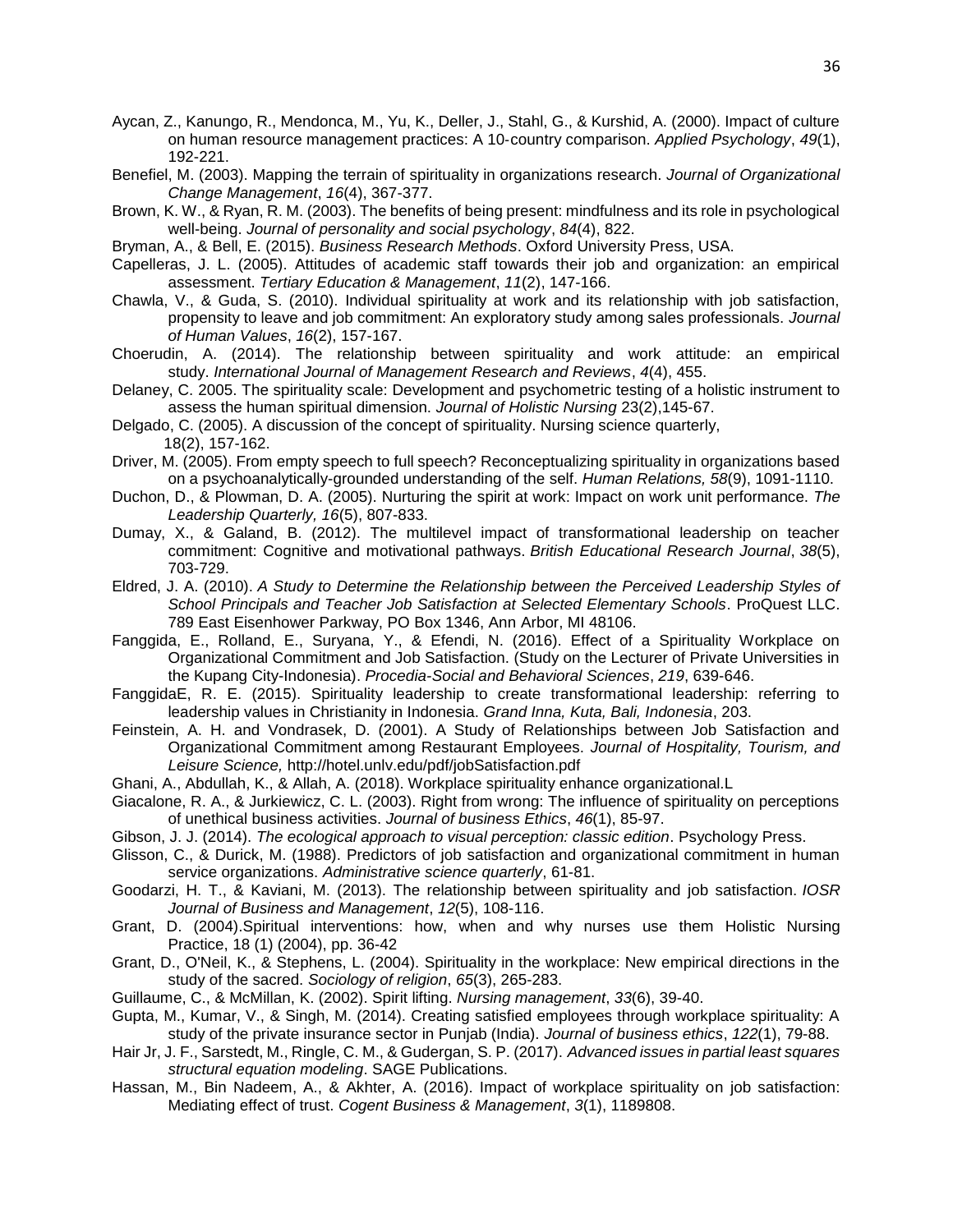- Aycan, Z., Kanungo, R., Mendonca, M., Yu, K., Deller, J., Stahl, G., & Kurshid, A. (2000). Impact of culture on human resource management practices: A 10‐country comparison. *Applied Psychology*, *49*(1), 192-221.
- Benefiel, M. (2003). Mapping the terrain of spirituality in organizations research. *Journal of Organizational Change Management*, *16*(4), 367-377.
- Brown, K. W., & Ryan, R. M. (2003). The benefits of being present: mindfulness and its role in psychological well-being. *Journal of personality and social psychology*, *84*(4), 822.
- Bryman, A., & Bell, E. (2015). *Business Research Methods*. Oxford University Press, USA.
- Capelleras, J. L. (2005). Attitudes of academic staff towards their job and organization: an empirical assessment. *Tertiary Education & Management*, *11*(2), 147-166.
- Chawla, V., & Guda, S. (2010). Individual spirituality at work and its relationship with job satisfaction, propensity to leave and job commitment: An exploratory study among sales professionals. *Journal of Human Values*, *16*(2), 157-167.
- Choerudin, A. (2014). The relationship between spirituality and work attitude: an empirical study. *International Journal of Management Research and Reviews*, *4*(4), 455.
- Delaney, C. 2005. The spirituality scale: Development and psychometric testing of a holistic instrument to assess the human spiritual dimension. *Journal of Holistic Nursing* 23(2),145-67.
- Delgado, C. (2005). A discussion of the concept of spirituality. Nursing science quarterly, 18(2), 157-162.
- Driver, M. (2005). From empty speech to full speech? Reconceptualizing spirituality in organizations based on a psychoanalytically-grounded understanding of the self. *Human Relations, 58*(9), 1091-1110.
- Duchon, D., & Plowman, D. A. (2005). Nurturing the spirit at work: Impact on work unit performance. *The Leadership Quarterly, 16*(5), 807-833.
- Dumay, X., & Galand, B. (2012). The multilevel impact of transformational leadership on teacher commitment: Cognitive and motivational pathways. *British Educational Research Journal*, *38*(5), 703-729.
- Eldred, J. A. (2010). *A Study to Determine the Relationship between the Perceived Leadership Styles of School Principals and Teacher Job Satisfaction at Selected Elementary Schools*. ProQuest LLC. 789 East Eisenhower Parkway, PO Box 1346, Ann Arbor, MI 48106.
- Fanggida, E., Rolland, E., Suryana, Y., & Efendi, N. (2016). Effect of a Spirituality Workplace on Organizational Commitment and Job Satisfaction. (Study on the Lecturer of Private Universities in the Kupang City-Indonesia). *Procedia-Social and Behavioral Sciences*, *219*, 639-646.
- FanggidaE, R. E. (2015). Spirituality leadership to create transformational leadership: referring to leadership values in Christianity in Indonesia. *Grand Inna, Kuta, Bali, Indonesia*, 203.
- Feinstein, A. H. and Vondrasek, D. (2001). A Study of Relationships between Job Satisfaction and Organizational Commitment among Restaurant Employees. *Journal of Hospitality, Tourism, and Leisure Science,* http://hotel.unlv.edu/pdf/jobSatisfaction.pdf
- Ghani, A., Abdullah, K., & Allah, A. (2018). Workplace spirituality enhance organizational.L
- Giacalone, R. A., & Jurkiewicz, C. L. (2003). Right from wrong: The influence of spirituality on perceptions of unethical business activities. *Journal of business Ethics*, *46*(1), 85-97.
- Gibson, J. J. (2014). *The ecological approach to visual perception: classic edition*. Psychology Press.
- Glisson, C., & Durick, M. (1988). Predictors of job satisfaction and organizational commitment in human service organizations. *Administrative science quarterly*, 61-81.
- Goodarzi, H. T., & Kaviani, M. (2013). The relationship between spirituality and job satisfaction. *IOSR Journal of Business and Management*, *12*(5), 108-116.
- Grant, D. (2004).Spiritual interventions: how, when and why nurses use them Holistic Nursing Practice, 18 (1) (2004), pp. 36-42
- Grant, D., O'Neil, K., & Stephens, L. (2004). Spirituality in the workplace: New empirical directions in the study of the sacred. *Sociology of religion*, *65*(3), 265-283.
- Guillaume, C., & McMillan, K. (2002). Spirit lifting. *Nursing management*, *33*(6), 39-40.
- Gupta, M., Kumar, V., & Singh, M. (2014). Creating satisfied employees through workplace spirituality: A study of the private insurance sector in Punjab (India). *Journal of business ethics*, *122*(1), 79-88.
- Hair Jr, J. F., Sarstedt, M., Ringle, C. M., & Gudergan, S. P. (2017). *Advanced issues in partial least squares structural equation modeling*. SAGE Publications.
- Hassan, M., Bin Nadeem, A., & Akhter, A. (2016). Impact of workplace spirituality on job satisfaction: Mediating effect of trust. *Cogent Business & Management*, *3*(1), 1189808.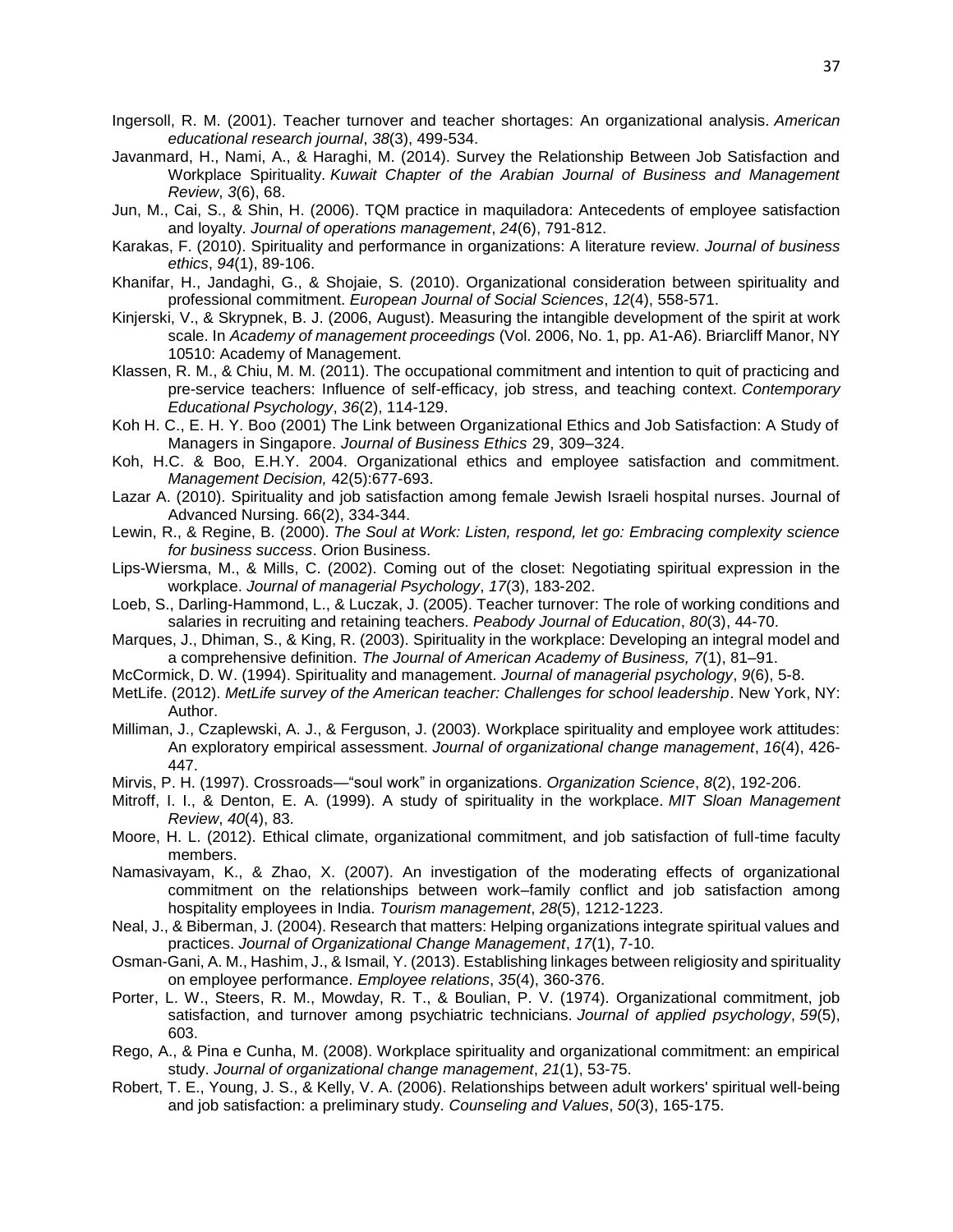- Ingersoll, R. M. (2001). Teacher turnover and teacher shortages: An organizational analysis. *American educational research journal*, *38*(3), 499-534.
- Javanmard, H., Nami, A., & Haraghi, M. (2014). Survey the Relationship Between Job Satisfaction and Workplace Spirituality. *Kuwait Chapter of the Arabian Journal of Business and Management Review*, *3*(6), 68.
- Jun, M., Cai, S., & Shin, H. (2006). TQM practice in maquiladora: Antecedents of employee satisfaction and loyalty. *Journal of operations management*, *24*(6), 791-812.
- Karakas, F. (2010). Spirituality and performance in organizations: A literature review. *Journal of business ethics*, *94*(1), 89-106.
- Khanifar, H., Jandaghi, G., & Shojaie, S. (2010). Organizational consideration between spirituality and professional commitment. *European Journal of Social Sciences*, *12*(4), 558-571.
- Kinjerski, V., & Skrypnek, B. J. (2006, August). Measuring the intangible development of the spirit at work scale. In *Academy of management proceedings* (Vol. 2006, No. 1, pp. A1-A6). Briarcliff Manor, NY 10510: Academy of Management.
- Klassen, R. M., & Chiu, M. M. (2011). The occupational commitment and intention to quit of practicing and pre-service teachers: Influence of self-efficacy, job stress, and teaching context. *Contemporary Educational Psychology*, *36*(2), 114-129.
- Koh H. C., E. H. Y. Boo (2001) The Link between Organizational Ethics and Job Satisfaction: A Study of Managers in Singapore. *Journal of Business Ethics* 29, 309–324.
- Koh, H.C. & Boo, E.H.Y. 2004. Organizational ethics and employee satisfaction and commitment. *Management Decision,* 42(5):677-693.
- Lazar A. (2010). Spirituality and job satisfaction among female Jewish Israeli hospital nurses. Journal of Advanced Nursing. 66(2), 334-344.
- Lewin, R., & Regine, B. (2000). *The Soul at Work: Listen, respond, let go: Embracing complexity science for business success*. Orion Business.
- Lips-Wiersma, M., & Mills, C. (2002). Coming out of the closet: Negotiating spiritual expression in the workplace. *Journal of managerial Psychology*, *17*(3), 183-202.
- Loeb, S., Darling-Hammond, L., & Luczak, J. (2005). Teacher turnover: The role of working conditions and salaries in recruiting and retaining teachers. *Peabody Journal of Education*, *80*(3), 44-70.
- Marques, J., Dhiman, S., & King, R. (2003). Spirituality in the workplace: Developing an integral model and a comprehensive definition. *The Journal of American Academy of Business, 7*(1), 81–91.
- McCormick, D. W. (1994). Spirituality and management. *Journal of managerial psychology*, *9*(6), 5-8.
- MetLife. (2012). *MetLife survey of the American teacher: Challenges for school leadership*. New York, NY: Author.
- Milliman, J., Czaplewski, A. J., & Ferguson, J. (2003). Workplace spirituality and employee work attitudes: An exploratory empirical assessment. *Journal of organizational change management*, *16*(4), 426- 447.
- Mirvis, P. H. (1997). Crossroads—"soul work" in organizations. *Organization Science*, *8*(2), 192-206.
- Mitroff, I. I., & Denton, E. A. (1999). A study of spirituality in the workplace. *MIT Sloan Management Review*, *40*(4), 83.
- Moore, H. L. (2012). Ethical climate, organizational commitment, and job satisfaction of full-time faculty members.
- Namasivayam, K., & Zhao, X. (2007). An investigation of the moderating effects of organizational commitment on the relationships between work–family conflict and job satisfaction among hospitality employees in India. *Tourism management*, *28*(5), 1212-1223.
- Neal, J., & Biberman, J. (2004). Research that matters: Helping organizations integrate spiritual values and practices. *Journal of Organizational Change Management*, *17*(1), 7-10.
- Osman-Gani, A. M., Hashim, J., & Ismail, Y. (2013). Establishing linkages between religiosity and spirituality on employee performance. *Employee relations*, *35*(4), 360-376.
- Porter, L. W., Steers, R. M., Mowday, R. T., & Boulian, P. V. (1974). Organizational commitment, job satisfaction, and turnover among psychiatric technicians. *Journal of applied psychology*, *59*(5), 603.
- Rego, A., & Pina e Cunha, M. (2008). Workplace spirituality and organizational commitment: an empirical study. *Journal of organizational change management*, *21*(1), 53-75.
- Robert, T. E., Young, J. S., & Kelly, V. A. (2006). Relationships between adult workers' spiritual well‐being and job satisfaction: a preliminary study. *Counseling and Values*, *50*(3), 165-175.